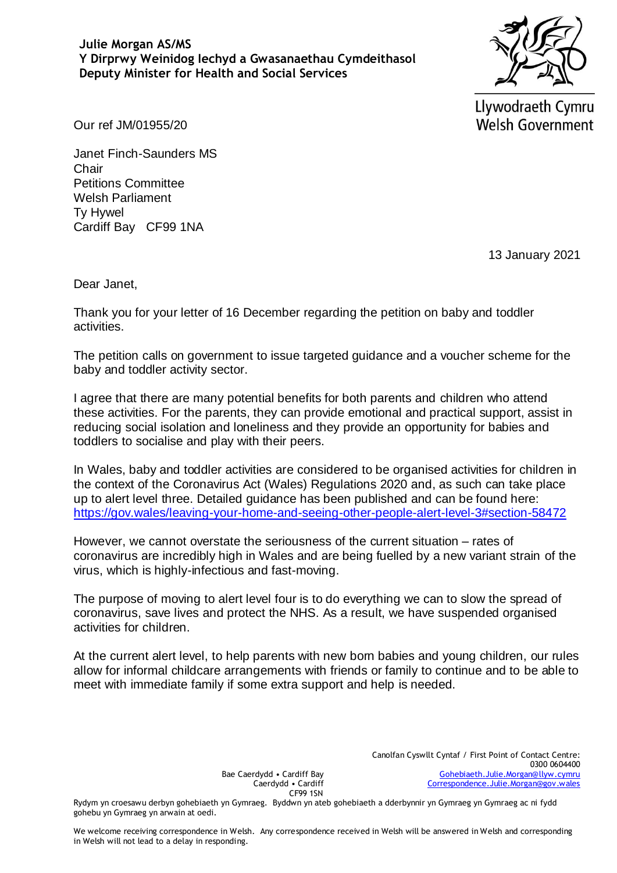## **Julie Morgan AS/MS Y Dirprwy Weinidog Iechyd a Gwasanaethau Cymdeithasol Deputy Minister for Health and Social Services**



Llywodraeth Cymru **Welsh Government** 

Our ref JM/01955/20

Janet Finch-Saunders MS **Chair** Petitions Committee Welsh Parliament Ty Hywel Cardiff Bay CF99 1NA

13 January 2021

Dear Janet,

Thank you for your letter of 16 December regarding the petition on baby and toddler activities.

The petition calls on government to issue targeted guidance and a voucher scheme for the baby and toddler activity sector.

I agree that there are many potential benefits for both parents and children who attend these activities. For the parents, they can provide emotional and practical support, assist in reducing social isolation and loneliness and they provide an opportunity for babies and toddlers to socialise and play with their peers.

In Wales, baby and toddler activities are considered to be organised activities for children in the context of the Coronavirus Act (Wales) Regulations 2020 and, as such can take place up to alert level three. Detailed guidance has been published and can be found here: <https://gov.wales/leaving-your-home-and-seeing-other-people-alert-level-3#section-58472>

However, we cannot overstate the seriousness of the current situation – rates of coronavirus are incredibly high in Wales and are being fuelled by a new variant strain of the virus, which is highly-infectious and fast-moving.

The purpose of moving to alert level four is to do everything we can to slow the spread of coronavirus, save lives and protect the NHS. As a result, we have suspended organised activities for children.

At the current alert level, to help parents with new born babies and young children, our rules allow for informal childcare arrangements with friends or family to continue and to be able to meet with immediate family if some extra support and help is needed.

Bae Caerdydd • Cardiff Bay Caerdydd • Cardiff CF99 1SN

Rydym yn croesawu derbyn gohebiaeth yn Gymraeg. Byddwn yn ateb gohebiaeth a dderbynnir yn Gymraeg yn Gymraeg ac ni fydd gohebu yn Gymraeg yn arwain at oedi.